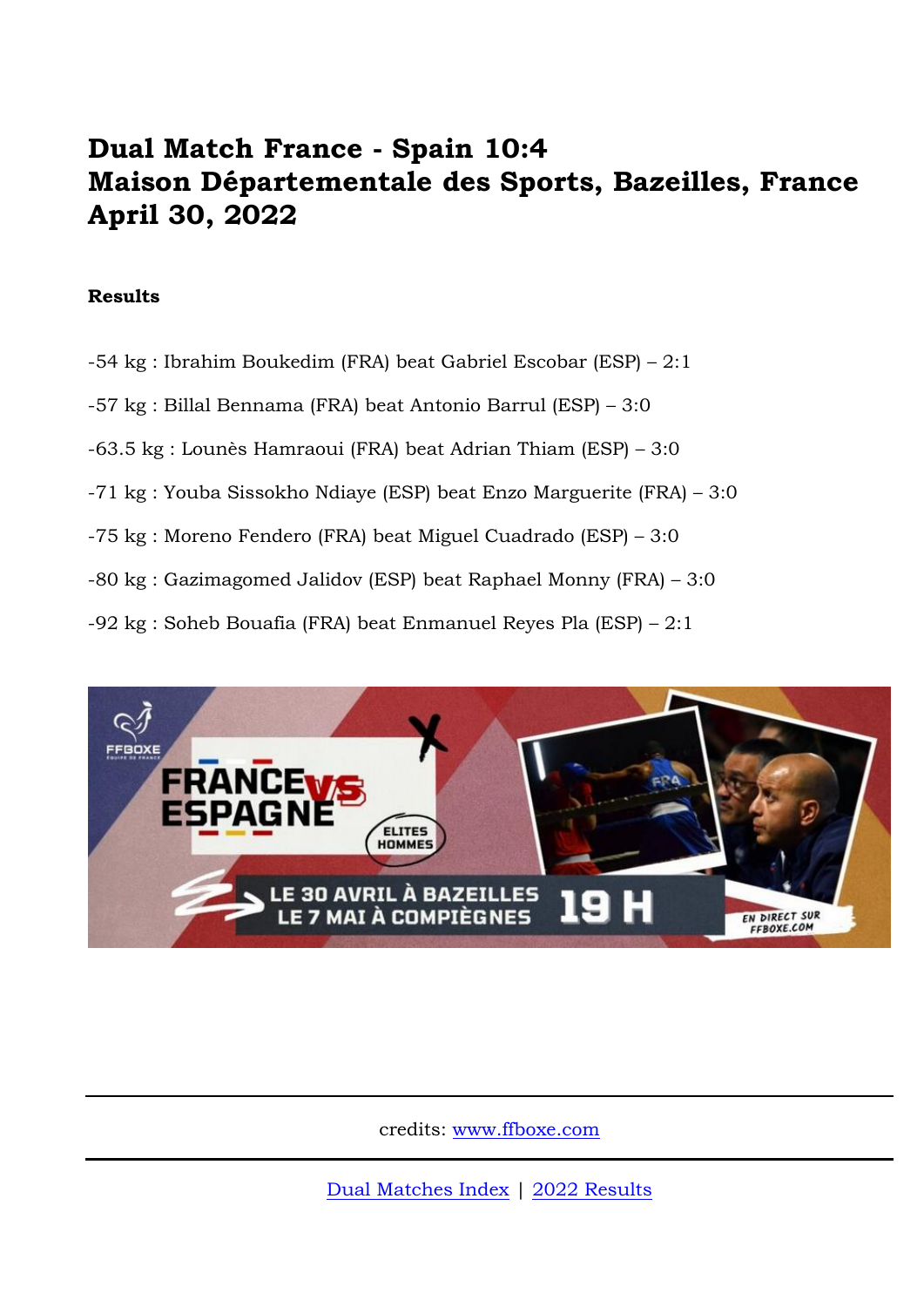## **Dual Match France - Spain 10:4 Maison Départementale des Sports, Bazeilles, France April 30, 2022**

## **Results**

- -54 kg : Ibrahim Boukedim (FRA) beat Gabriel Escobar (ESP) 2:1
- -57 kg : Billal Bennama (FRA) beat Antonio Barrul (ESP) 3:0
- -63.5 kg : Lounès Hamraoui (FRA) beat Adrian Thiam (ESP) 3:0
- -71 kg : Youba Sissokho Ndiaye (ESP) beat Enzo Marguerite (FRA) 3:0
- -75 kg : Moreno Fendero (FRA) beat Miguel Cuadrado (ESP) 3:0
- -80 kg : Gazimagomed Jalidov (ESP) beat Raphael Monny (FRA) 3:0
- -92 kg : Soheb Bouafia (FRA) beat Enmanuel Reyes Pla (ESP) 2:1



credits: [www.ffboxe.com](https://www.ffboxe.com/equipe-de-france/france-espagne-elites-hommes-double-confrontation-en-direct/)

[Dual Matches Index](http://amateur-boxing.strefa.pl/DualsLeague/duals_index.html) | [2022 Results](http://amateur-boxing.strefa.pl/2022Results.html)